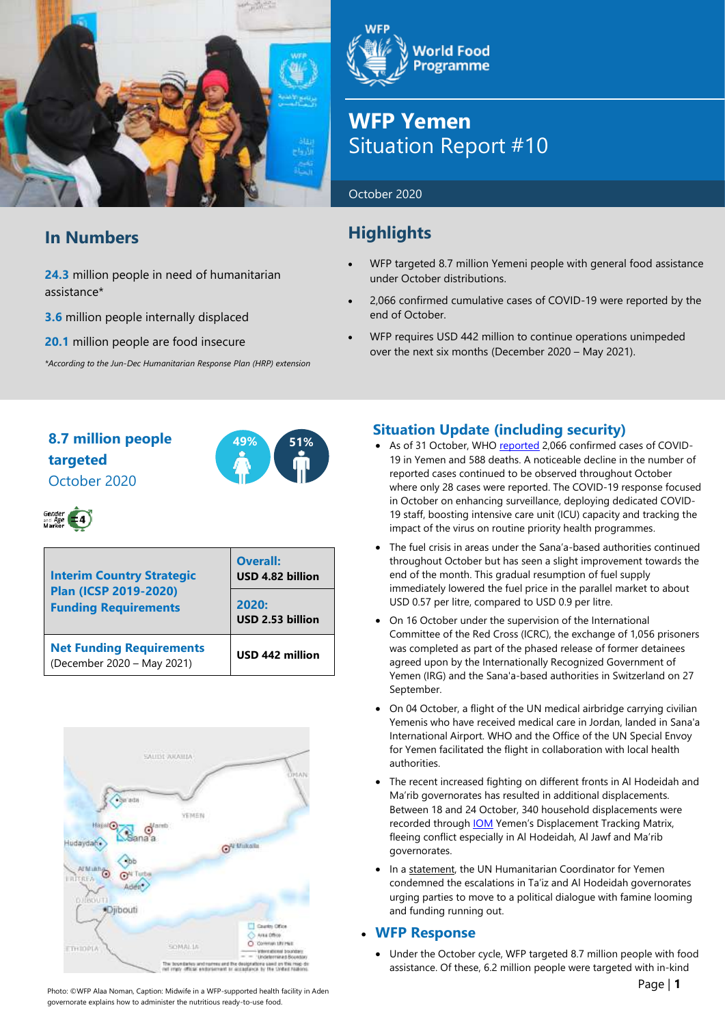

# **In Numbers**

**24.3** million people in need of humanitarian assistance\*

**3.6** million people internally displaced

**20.1** million people are food insecure

*\*According to the Jun-Dec Humanitarian Response Plan (HRP) extension*

**World Food Programme** 

# **WFP Yemen** Situation Report #10

### October 2020

# **Highlights**

- WFP targeted 8.7 million Yemeni people with general food assistance under October distributions.
- 2,066 confirmed cumulative cases of COVID-19 were reported by the end of October.
- WFP requires USD 442 million to continue operations unimpeded over the next six months (December 2020 – May 2021).

# **8.7 million people 49% 51% targeted** October 2020





| <b>Interim Country Strategic</b><br><b>Plan (ICSP 2019-2020)</b><br><b>Funding Requirements</b> | <b>Overall:</b><br>USD 4.82 billion |  |  |
|-------------------------------------------------------------------------------------------------|-------------------------------------|--|--|
|                                                                                                 | 2020:<br>USD 2.53 billion           |  |  |
| <b>Net Funding Requirements</b><br>(December 2020 - May 2021)                                   | USD 442 million                     |  |  |



Photo: ©WFP Alaa Noman, Caption: Midwife in a WFP-supported health facility in Aden governorate explains how to administer the nutritious ready-to-use food.

# **Situation Update (including security)**

- As of 31 October, WH[O reported](https://app.powerbi.com/view?r=eyJrIjoiZjE2NzJjZDItNDgyZi00NDFkLWFlMjItNjA2MjIwMWYzODJkIiwidCI6ImY2MTBjMGI3LWJkMjQtNGIzOS04MTBiLTNkYzI4MGFmYjU5MCIsImMiOjh9) 2,066 confirmed cases of COVID-19 in Yemen and 588 deaths. A noticeable decline in the number of reported cases continued to be observed throughout October where only 28 cases were reported. The COVID-19 response focused in October on enhancing surveillance, deploying dedicated COVID-19 staff, boosting intensive care unit (ICU) capacity and tracking the impact of the virus on routine priority health programmes.
- The fuel crisis in areas under the Sana'a-based authorities continued throughout October but has seen a slight improvement towards the end of the month. This gradual resumption of fuel supply immediately lowered the fuel price in the parallel market to about USD 0.57 per litre, compared to USD 0.9 per litre.
- On 16 October under the supervision of the International Committee of the Red Cross (ICRC), the exchange of 1,056 prisoners was completed as part of the phased release of former detainees agreed upon by the Internationally Recognized Government of Yemen (IRG) and the Sana'a-based authorities in Switzerland on 27 September.
- On 04 October, a flight of the UN medical airbridge carrying civilian Yemenis who have received medical care in Jordan, landed in Sana'a International Airport. WHO and the Office of the UN Special Envoy for Yemen facilitated the flight in collaboration with local health authorities.
- The recent increased fighting on different fronts in Al Hodeidah and Ma'rib governorates has resulted in additional displacements. Between 18 and 24 October, 340 household displacements were recorded throug[h IOM](https://reliefweb.int/report/yemen/iom-yemen-rapid-displacement-tracking-rdt-reporting-period-18-24-october-2020) Yemen's Displacement Tracking Matrix, fleeing conflict especially in Al Hodeidah, Al Jawf and Ma'rib governorates.
- In a [statement,](https://reliefweb.int/report/yemen/statement-humanitarian-coordinator-yemen-17-october-2020-scores-civilians-killed-and) the UN Humanitarian Coordinator for Yemen condemned the escalations in Ta'iz and Al Hodeidah governorates urging parties to move to a political dialogue with famine looming and funding running out.

# • **WFP Response**

• Under the October cycle, WFP targeted 8.7 million people with food assistance. Of these, 6.2 million people were targeted with in-kind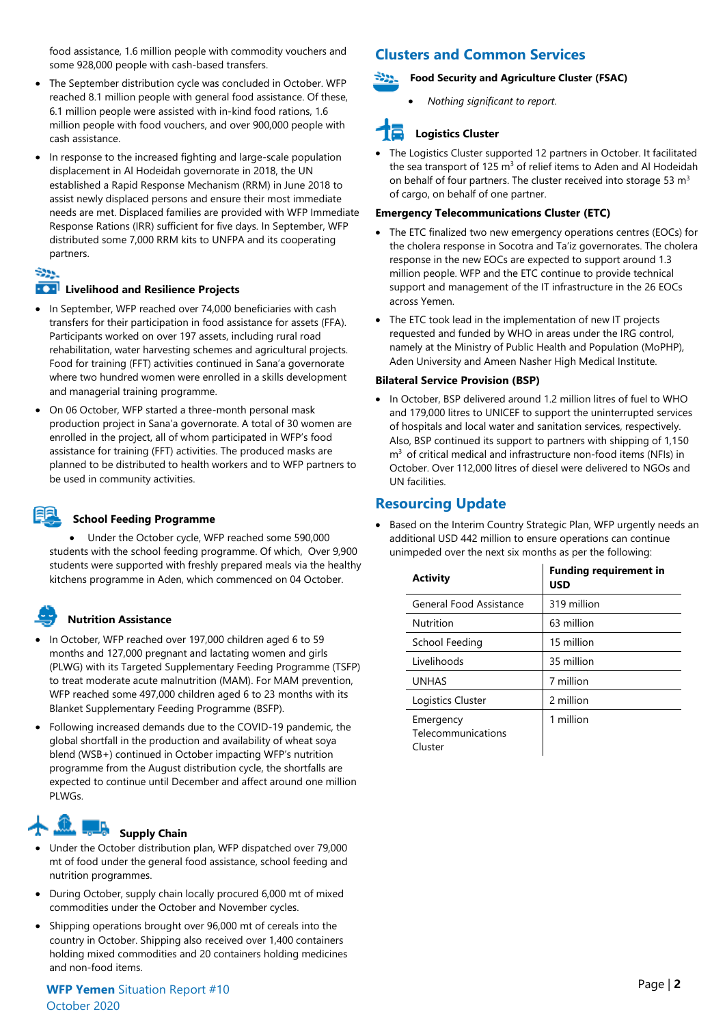food assistance, 1.6 million people with commodity vouchers and some 928,000 people with cash-based transfers.

- The September distribution cycle was concluded in October. WFP reached 8.1 million people with general food assistance. Of these, 6.1 million people were assisted with in-kind food rations, 1.6 million people with food vouchers, and over 900,000 people with cash assistance.
- In response to the increased fighting and large-scale population displacement in Al Hodeidah governorate in 2018, the UN established a Rapid Response Mechanism (RRM) in June 2018 to assist newly displaced persons and ensure their most immediate needs are met. Displaced families are provided with WFP Immediate Response Rations (IRR) sufficient for five days. In September, WFP distributed some 7,000 RRM kits to UNFPA and its cooperating partners.

# Store.

### **Livelihood** and Resilience Projects

- In September, WFP reached over 74,000 beneficiaries with cash transfers for their participation in food assistance for assets (FFA). Participants worked on over 197 assets, including rural road rehabilitation, water harvesting schemes and agricultural projects. Food for training (FFT) activities continued in Sana'a governorate where two hundred women were enrolled in a skills development and managerial training programme.
- On 06 October, WFP started a three-month personal mask production project in Sana'a governorate. A total of 30 women are enrolled in the project, all of whom participated in WFP's food assistance for training (FFT) activities. The produced masks are planned to be distributed to health workers and to WFP partners to be used in community activities.



### **School Feeding Programme**

• Under the October cycle, WFP reached some 590,000 students with the school feeding programme. Of which, Over 9,900 students were supported with freshly prepared meals via the healthy kitchens programme in Aden, which commenced on 04 October.

### **Nutrition Assistance**

- In October, WFP reached over 197,000 children aged 6 to 59 months and 127,000 pregnant and lactating women and girls (PLWG) with its Targeted Supplementary Feeding Programme (TSFP) to treat moderate acute malnutrition (MAM). For MAM prevention, WFP reached some 497,000 children aged 6 to 23 months with its Blanket Supplementary Feeding Programme (BSFP).
- Following increased demands due to the COVID-19 pandemic, the global shortfall in the production and availability of wheat soya blend (WSB+) continued in October impacting WFP's nutrition programme from the August distribution cycle, the shortfalls are expected to continue until December and affect around one million PLWGs.

# **Supply Chain**

- Under the October distribution plan, WFP dispatched over 79,000 mt of food under the general food assistance, school feeding and nutrition programmes.
- During October, supply chain locally procured 6,000 mt of mixed commodities under the October and November cycles.
- Shipping operations brought over 96,000 mt of cereals into the country in October. Shipping also received over 1,400 containers holding mixed commodities and 20 containers holding medicines and non-food items.

# **WFP** Page | **<sup>2</sup> Yemen** Situation Report #10 October 2020

# **Clusters and Common Services**

### -922. **Food Security and Agriculture Cluster (FSAC)**

• *Nothing significant to report*.

# **Logistics Cluster**

The Logistics Cluster supported 12 partners in October. It facilitated the sea transport of 125  $m<sup>3</sup>$  of relief items to Aden and Al Hodeidah on behalf of four partners. The cluster received into storage 53 m<sup>3</sup> of cargo, on behalf of one partner.

### **Emergency Telecommunications Cluster (ETC)**

- The ETC finalized two new emergency operations centres (EOCs) for the cholera response in Socotra and Ta'iz governorates. The cholera response in the new EOCs are expected to support around 1.3 million people. WFP and the ETC continue to provide technical support and management of the IT infrastructure in the 26 EOCs across Yemen.
- The ETC took lead in the implementation of new IT projects requested and funded by WHO in areas under the IRG control, namely at the Ministry of Public Health and Population (MoPHP), Aden University and Ameen Nasher High Medical Institute.

### **Bilateral Service Provision (BSP)**

• In October, BSP delivered around 1.2 million litres of fuel to WHO and 179,000 litres to UNICEF to support the uninterrupted services of hospitals and local water and sanitation services, respectively. Also, BSP continued its support to partners with shipping of 1,150  $m<sup>3</sup>$  of critical medical and infrastructure non-food items (NFIs) in October. Over 112,000 litres of diesel were delivered to NGOs and UN facilities.

# **Resourcing Update**

Based on the Interim Country Strategic Plan, WFP urgently needs an additional USD 442 million to ensure operations can continue unimpeded over the next six months as per the following:

| <b>Activity</b>                            | <b>Funding requirement in</b><br><b>USD</b> |
|--------------------------------------------|---------------------------------------------|
| General Food Assistance                    | 319 million                                 |
| Nutrition                                  | 63 million                                  |
| School Feeding                             | 15 million                                  |
| Livelihoods                                | 35 million                                  |
| <b>UNHAS</b>                               | 7 million                                   |
| Logistics Cluster                          | 2 million                                   |
| Emergency<br>Telecommunications<br>Cluster | 1 million                                   |